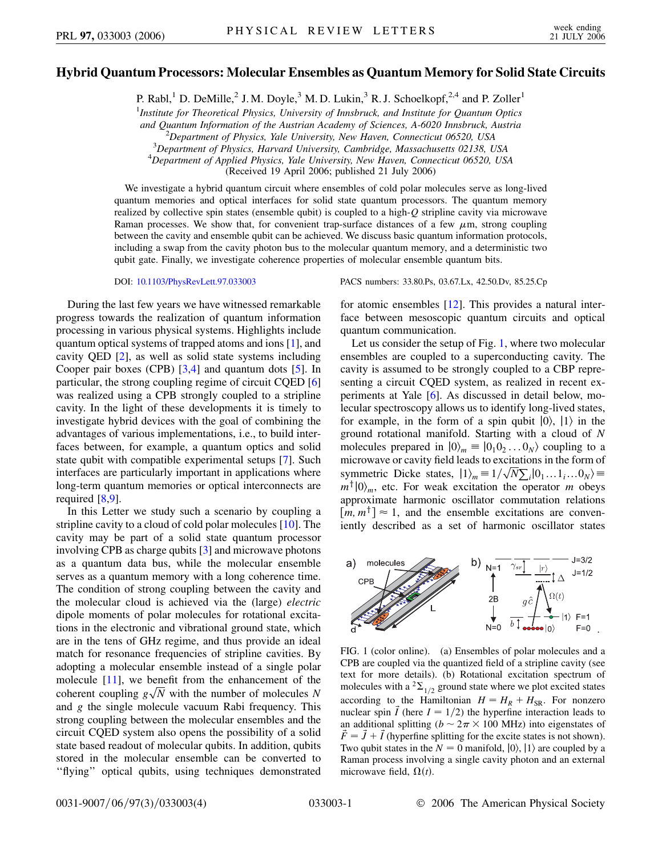## **Hybrid Quantum Processors: Molecular Ensembles as Quantum Memory for Solid State Circuits**

P. Rabl,<sup>1</sup> D. DeMille,<sup>2</sup> J. M. Doyle,<sup>3</sup> M. D. Lukin,<sup>3</sup> R. J. Schoelkopf,<sup>2,4</sup> and P. Zoller<sup>1</sup>

1 *Institute for Theoretical Physics, University of Innsbruck, and Institute for Quantum Optics*

*and Quantum Information of the Austrian Academy of Sciences, A-6020 Innsbruck, Austria* <sup>2</sup>

<sup>2</sup>Department of Physics, Yale University, New Haven, Connecticut 06520, USA *Department of Physics, Harvard University, Cambridge, Massachusetts 02138, USA* <sup>4</sup>

*Department of Applied Physics, Yale University, New Haven, Connecticut 06520, USA*

(Received 19 April 2006; published 21 July 2006)

We investigate a hybrid quantum circuit where ensembles of cold polar molecules serve as long-lived quantum memories and optical interfaces for solid state quantum processors. The quantum memory realized by collective spin states (ensemble qubit) is coupled to a high-*Q* stripline cavity via microwave Raman processes. We show that, for convenient trap-surface distances of a few  $\mu$ m, strong coupling between the cavity and ensemble qubit can be achieved. We discuss basic quantum information protocols, including a swap from the cavity photon bus to the molecular quantum memory, and a deterministic two qubit gate. Finally, we investigate coherence properties of molecular ensemble quantum bits.

During the last few years we have witnessed remarkable progress towards the realization of quantum information processing in various physical systems. Highlights include quantum optical systems of trapped atoms and ions [\[1\]](#page-3-0), and cavity QED [\[2\]](#page-3-1), as well as solid state systems including Cooper pair boxes (CPB) [[3,](#page-3-2)[4\]](#page-3-3) and quantum dots [\[5](#page-3-4)]. In particular, the strong coupling regime of circuit CQED [\[6\]](#page-3-5) was realized using a CPB strongly coupled to a stripline cavity. In the light of these developments it is timely to investigate hybrid devices with the goal of combining the advantages of various implementations, i.e., to build interfaces between, for example, a quantum optics and solid state qubit with compatible experimental setups [[7\]](#page-3-6). Such interfaces are particularly important in applications where long-term quantum memories or optical interconnects are required [\[8,](#page-3-7)[9](#page-3-8)].

In this Letter we study such a scenario by coupling a stripline cavity to a cloud of cold polar molecules [\[10](#page-3-9)]. The cavity may be part of a solid state quantum processor involving CPB as charge qubits [[3\]](#page-3-2) and microwave photons as a quantum data bus, while the molecular ensemble serves as a quantum memory with a long coherence time. The condition of strong coupling between the cavity and the molecular cloud is achieved via the (large) *electric* dipole moments of polar molecules for rotational excitations in the electronic and vibrational ground state, which are in the tens of GHz regime, and thus provide an ideal match for resonance frequencies of stripline cavities. By adopting a molecular ensemble instead of a single polar molecule [\[11\]](#page-3-10), we benefit from the enhancement of the molecule [11], we benefit from the enhancement of the coherent coupling  $g\sqrt{N}$  with the number of molecules *N* and *g* the single molecule vacuum Rabi frequency. This strong coupling between the molecular ensembles and the circuit CQED system also opens the possibility of a solid state based readout of molecular qubits. In addition, qubits stored in the molecular ensemble can be converted to ''flying'' optical qubits, using techniques demonstrated

DOI: [10.1103/PhysRevLett.97.033003](http://dx.doi.org/10.1103/PhysRevLett.97.033003) PACS numbers: 33.80.Ps, 03.67.Lx, 42.50.Dv, 85.25.Cp

for atomic ensembles [[12](#page-3-11)]. This provides a natural interface between mesoscopic quantum circuits and optical quantum communication.

Let us consider the setup of Fig. [1,](#page-0-0) where two molecular ensembles are coupled to a superconducting cavity. The cavity is assumed to be strongly coupled to a CBP representing a circuit CQED system, as realized in recent experiments at Yale [[6](#page-3-5)]. As discussed in detail below, molecular spectroscopy allows us to identify long-lived states, for example, in the form of a spin qubit  $|0\rangle$ ,  $|1\rangle$  in the ground rotational manifold. Starting with a cloud of *N* molecules prepared in  $|0\rangle_m = |0_1 0_2 ... 0_N\rangle$  coupling to a microwave or cavity field leads to excitations in the form of symmetric Dicke states,  $|1\rangle_m = 1/\sqrt{N} \sum_i |0_1 ... 1_i ... 0_N\rangle =$  $m^{\dagger} |0\rangle_m$ , etc. For weak excitation the operator *m* obeys approximate harmonic oscillator commutation relations  $[m, m^{\dagger}] \approx 1$ , and the ensemble excitations are conveniently described as a set of harmonic oscillator states

<span id="page-0-0"></span>

<span id="page-0-1"></span>FIG. 1 (color online). (a) Ensembles of polar molecules and a CPB are coupled via the quantized field of a stripline cavity (see text for more details). (b) Rotational excitation spectrum of molecules with a <sup>2</sup> $\sum_{1/2}$  ground state where we plot excited states according to the Hamiltonian  $H = H_R + H_{SR}$ . For nonzero nuclear spin  $\vec{I}$  (here  $I = 1/2$ ) the hyperfine interaction leads to an additional splitting ( $b \sim 2\pi \times 100$  MHz) into eigenstates of  $\vec{F} = \vec{J} + \vec{I}$  (hyperfine splitting for the excite states is not shown). Two qubit states in the  $N = 0$  manifold,  $|0\rangle$ ,  $|1\rangle$  are coupled by a Raman process involving a single cavity photon and an external microwave field,  $\Omega(t)$ .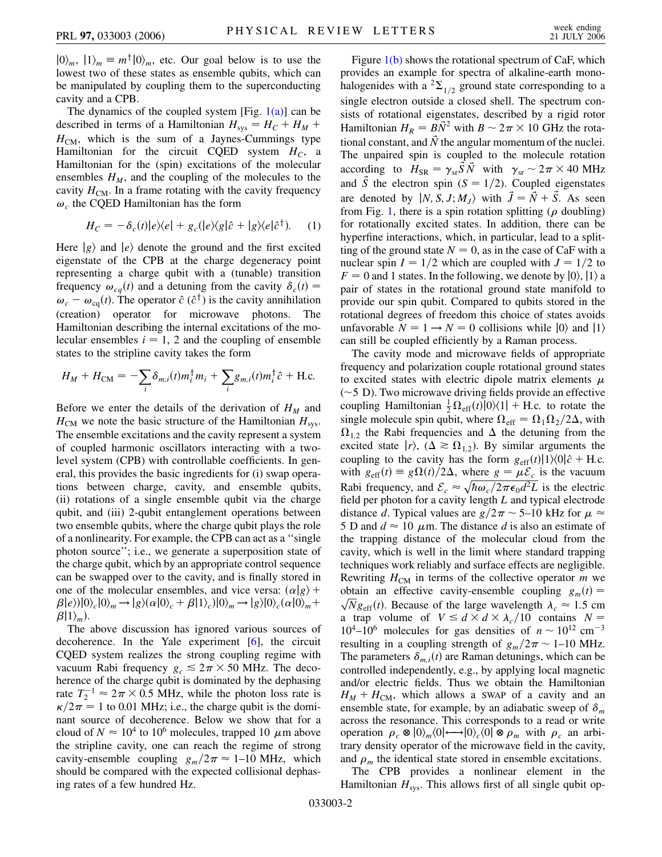$|0\rangle_m$ ,  $|1\rangle_m \equiv m^{\dagger} |0\rangle_m$ , etc. Our goal below is to use the lowest two of these states as ensemble qubits, which can be manipulated by coupling them to the superconducting cavity and a CPB.

The dynamics of the coupled system [Fig.  $1(a)$ ] can be described in terms of a Hamiltonian  $H_{sys} = H_C + H_M +$  $H_{CM}$ , which is the sum of a Jaynes-Cummings type Hamiltonian for the circuit CQED system  $H_C$ , a Hamiltonian for the (spin) excitations of the molecular ensembles  $H_M$ , and the coupling of the molecules to the cavity  $H_{CM}$ . In a frame rotating with the cavity frequency  $\omega_c$  the CQED Hamiltonian has the form

$$
H_C = -\delta_c(t)|e\rangle\langle e| + g_c(|e\rangle\langle g|\hat{c} + |g\rangle\langle e|\hat{c}^{\dagger}).
$$
 (1)

Here  $|g\rangle$  and  $|e\rangle$  denote the ground and the first excited eigenstate of the CPB at the charge degeneracy point representing a charge qubit with a (tunable) transition frequency  $\omega_{cq}(t)$  and a detuning from the cavity  $\delta_c(t)$  =  $\omega_c - \omega_{\text{cq}}(t)$ . The operator  $\hat{c}$  ( $\hat{c}^{\dagger}$ ) is the cavity annihilation (creation) operator for microwave photons. The Hamiltonian describing the internal excitations of the molecular ensembles  $i = 1, 2$  and the coupling of ensemble states to the stripline cavity takes the form

$$
H_M + H_{\text{CM}} = -\sum_i \delta_{m,i}(t) m_i^{\dagger} m_i + \sum_i g_{m,i}(t) m_i^{\dagger} \hat{c} + \text{H.c.}
$$

Before we enter the details of the derivation of  $H_M$  and  $H_{CM}$  we note the basic structure of the Hamiltonian  $H_{sys}$ . The ensemble excitations and the cavity represent a system of coupled harmonic oscillators interacting with a twolevel system (CPB) with controllable coefficients. In general, this provides the basic ingredients for (i) swap operations between charge, cavity, and ensemble qubits, (ii) rotations of a single ensemble qubit via the charge qubit, and (iii) 2-qubit entanglement operations between two ensemble qubits, where the charge qubit plays the role of a nonlinearity. For example, the CPB can act as a ''single photon source''; i.e., we generate a superposition state of the charge qubit, which by an appropriate control sequence can be swapped over to the cavity, and is finally stored in one of the molecular ensembles, and vice versa:  $\left(\alpha|g\right)$  +  $\beta|e\rangle$  $|0\rangle_c|0\rangle_m \rightarrow |g\rangle(\alpha|0\rangle_c + \beta|1\rangle_c)|0\rangle_m \rightarrow |g\rangle|0\rangle_c(\alpha|0\rangle_m +$  $\beta$ |1<sub>*m*</sub>).

The above discussion has ignored various sources of decoherence. In the Yale experiment [\[6](#page-3-5)], the circuit CQED system realizes the strong coupling regime with vacuum Rabi frequency  $g_c \leq 2\pi \times 50$  MHz. The decoherence of the charge qubit is dominated by the dephasing rate  $T_2^{-1} \approx 2\pi \times 0.5$  MHz, while the photon loss rate is  $\kappa/2\pi = 1$  to 0.01 MHz; i.e., the charge qubit is the dominant source of decoherence. Below we show that for a cloud of  $N \approx 10^4$  to 10<sup>6</sup> molecules, trapped 10  $\mu$ m above the stripline cavity, one can reach the regime of strong cavity-ensemble coupling  $g_m/2\pi \approx 1$ –10 MHz, which should be compared with the expected collisional dephasing rates of a few hundred Hz.

Figure [1\(b\)](#page-0-1) shows the rotational spectrum of CaF, which provides an example for spectra of alkaline-earth monohalogenides with a  ${}^{2}\Sigma_{1/2}$  ground state corresponding to a single electron outside a closed shell. The spectrum consists of rotational eigenstates, described by a rigid rotor Hamiltonian  $H_R = B\vec{N}^2$  with  $B \sim 2\pi \times 10$  GHz the rotational constant, and  $\vec{N}$  the angular momentum of the nuclei. The unpaired spin is coupled to the molecule rotation according to  $H_{SR} = \gamma_{sr} \vec{S} \vec{N}$  with  $\gamma_{sr} \sim 2\pi \times 40$  MHz and  $\vec{S}$  the electron spin ( $S = 1/2$ ). Coupled eigenstates are denoted by  $|N, S, J; M<sub>I</sub> \rangle$  with  $\vec{J} = \vec{N} + \vec{S}$ . As seen from Fig. [1,](#page-0-0) there is a spin rotation splitting ( $\rho$  doubling) for rotationally excited states. In addition, there can be hyperfine interactions, which, in particular, lead to a splitting of the ground state  $N = 0$ , as in the case of CaF with a nuclear spin  $I = 1/2$  which are coupled with  $J = 1/2$  to  $F = 0$  and 1 states. In the following, we denote by  $|0\rangle$ ,  $|1\rangle$  a pair of states in the rotational ground state manifold to provide our spin qubit. Compared to qubits stored in the rotational degrees of freedom this choice of states avoids unfavorable  $N = 1 \rightarrow N = 0$  collisions while  $|0\rangle$  and  $|1\rangle$ can still be coupled efficiently by a Raman process.

The cavity mode and microwave fields of appropriate frequency and polarization couple rotational ground states to excited states with electric dipole matrix elements  $\mu$  $(\sim 5$  D). Two microwave driving fields provide an effective coupling Hamiltonian  $\frac{1}{2}\Omega_{\text{eff}}(t)|0\rangle\langle 1| + \text{H.c.}$  to rotate the single molecule spin qubit, where  $\Omega_{\text{eff}} = \Omega_1 \Omega_2 / 2\Delta$ , with  $\Omega_{1,2}$  the Rabi frequencies and  $\Delta$  the detuning from the excited state  $|r\rangle$ ,  $(\Delta \ge \Omega_{1,2})$ . By similar arguments the coupling to the cavity has the form  $g_{\text{eff}}(t) \frac{1}{\omega} \hat{c} + \text{H.c.}$ with  $g_{\text{eff}}(t) \equiv g\Omega(t)/2\Delta$ , where  $g = \mu \mathcal{E}_c$  is the vacuum Rabi frequency, and  $\mathcal{E}_c \approx \sqrt{\hbar \omega_c / 2\pi \epsilon_0 d^2 L}$  is the electric field per photon for a cavity length *L* and typical electrode distance *d*. Typical values are  $g/2\pi \sim 5{\text -}10$  kHz for  $\mu \approx$ 5 D and  $d \approx 10 \mu$ m. The distance *d* is also an estimate of the trapping distance of the molecular cloud from the cavity, which is well in the limit where standard trapping techniques work reliably and surface effects are negligible. Rewriting  $H_{CM}$  in terms of the collective operator *m* we obtain an effective cavity-ensemble coupling  $g_m(t) = \sqrt{N}$ . (a) Because of the large number that  $\lambda$  and  $\lambda$  form botain an effective cavity-ensemble coupling  $g_m(t) = \sqrt{N} g_{\text{eff}}(t)$ . Because of the large wavelength  $\lambda_c \approx 1.5$  cm a trap volume of  $V \le d \times d \times \lambda_c / 10$  contains  $N =$  $10^4$ – $10^6$  molecules for gas densities of  $n \sim 10^{12}$  cm<sup>-3</sup> resulting in a coupling strength of  $g_m/2\pi \sim 1$ –10 MHz. The parameters  $\delta_{m,i}(t)$  are Raman detunings, which can be controlled independently, e.g., by applying local magnetic and/or electric fields. Thus we obtain the Hamiltonian  $H_M + H_{CM}$ , which allows a SWAP of a cavity and an ensemble state, for example, by an adiabatic sweep of  $\delta_m$ across the resonance. This corresponds to a read or write operation  $\rho_c \otimes |0\rangle_m\langle 0| \longrightarrow |0\rangle_c\langle 0| \otimes \rho_m$  with  $\rho_c$  an arbitrary density operator of the microwave field in the cavity, and  $\rho_m$  the identical state stored in ensemble excitations.

The CPB provides a nonlinear element in the Hamiltonian  $H_{sys}$ . This allows first of all single qubit op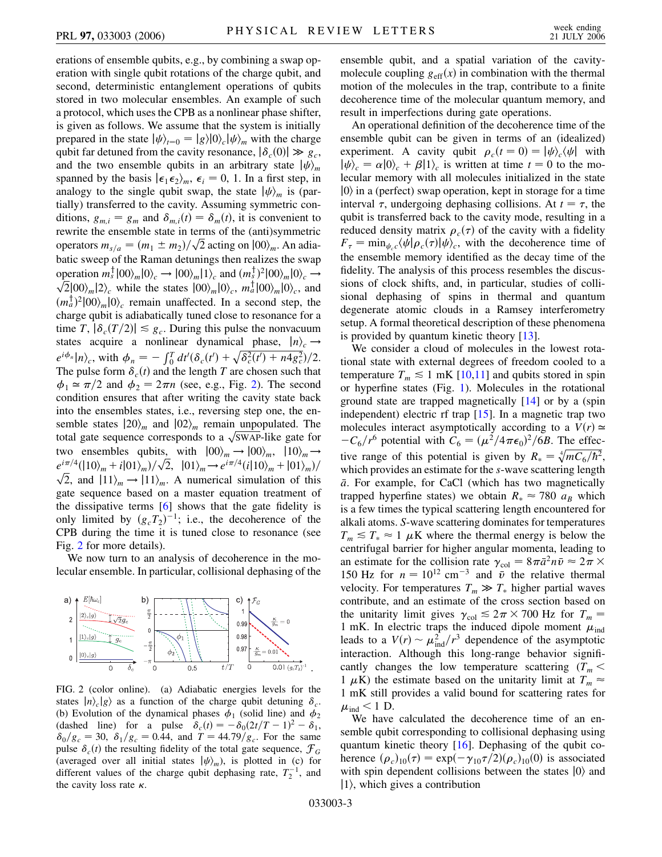erations of ensemble qubits, e.g., by combining a swap operation with single qubit rotations of the charge qubit, and second, deterministic entanglement operations of qubits stored in two molecular ensembles. An example of such a protocol, which uses the CPB as a nonlinear phase shifter, is given as follows. We assume that the system is initially prepared in the state  $|\psi\rangle_{t=0} = |g\rangle|0\rangle_c|\psi\rangle_m$  with the charge qubit far detuned from the cavity resonance,  $|\delta_c(0)| \gg g_c$ , and the two ensemble qubits in an arbitrary state  $|\psi\rangle_m$ spanned by the basis  $\vert \epsilon_1 \epsilon_2 \rangle_m$ ,  $\epsilon_i = 0$ , 1. In a first step, in analogy to the single qubit swap, the state  $|\psi\rangle_m$  is (partially) transferred to the cavity. Assuming symmetric conditions,  $g_{m,i} = g_m$  and  $\delta_{m,i}(t) = \delta_m(t)$ , it is convenient to rewrite the ensemble state in terms of the (anti)symmetric rewrite the ensemble state in terms of the (anti)symmetric<br>operators  $m_{s/a} = (m_1 \pm m_2)/\sqrt{2}$  acting on  $|00\rangle_m$ . An adiabatic sweep of the Raman detunings then realizes the swap operation  $m_s^{\dagger} |00\rangle_m |0\rangle_c \rightarrow |00\rangle_m |1\rangle_c$  and  $(m_s^{\dagger})^2 |00\rangle_m |0\rangle_c \rightarrow$ <br>  $\sqrt{2} |00\rangle_{m} |0\rangle_c |0\rangle_{m} |10\rangle_{m} |0\rangle_c |0\rangle_{m} |0\rangle_c |0\rangle_{m} |0\rangle_c |0\rangle_{m} |0\rangle_c |0\rangle_{m} |0\rangle_c |0\rangle_{m} |0\rangle_c |0\rangle_{m} |0\rangle_c |0\rangle_{m} |0\rangle_c |0\rangle_{m} |0\rangle_c |0\rangle_{m} |0\rangle_c$ betration  $m_s$   $|00\rangle_m |0\rangle_c \rightarrow |00\rangle_m |1\rangle_c$  and  $(m_s^2)^2 |00\rangle_m |0\rangle_c \rightarrow \sqrt{2}|00\rangle_m |0\rangle_c$ , and  $(m_a^{\dagger})^2 |00\rangle_m |0\rangle_c$  remain unaffected. In a second step, the charge qubit is adiabatically tuned close to resonance for a time *T*,  $|\delta_c(T/2)| \le g_c$ . During this pulse the nonvacuum states acquire a nonlinear dynamical phase,  $|n\rangle_c \rightarrow$  $e^{i\phi_n} \ln \frac{\partial}{\partial t}$ , with  $\phi_n = -\int_0^T dt' (\delta_c(t') + \sqrt{\delta_c^2(t') + n4g_c^2})/2$ . The pulse form  $\delta_c(t)$  and the length *T* are chosen such that  $\phi_1 \approx \pi/2$  and  $\phi_2 = 2\pi n$  (see, e.g., Fig. [2\)](#page-2-0). The second condition ensures that after writing the cavity state back into the ensembles states, i.e., reversing step one, the ensemble states  $|20\rangle_m$  and  $|02\rangle_m$  remain unpopulated. The semble states  $120/m$  and  $102/m$  remain unpopulated. The total gate sequence corresponds to a  $\sqrt{\text{SWAP}}$ -like gate for two ensembles qubits, with  $|00\rangle_m \rightarrow |00\rangle_m$ ,  $|10\rangle_m \rightarrow$  $e^{i\pi/4}(|10\rangle_m + i|01\rangle_m)/\sqrt{2}$ ,  $|01\rangle_m \rightarrow e^{i\pi/4}(i|10\rangle_m + |01\rangle_m)/\sqrt{2}$ ,  $|01\rangle_m \rightarrow e^{i\pi/4}(i|10\rangle_m + |01\rangle_m)/\sqrt{2}$  $\sqrt{2}$ , and  $|11\rangle_m + i|01\rangle_m$ / $\sqrt{2}$ ,  $|01\rangle_m \rightarrow e^{i\pi/3}$  ( $i|10\rangle_m + |01\rangle_m$ )/<br> $\sqrt{2}$ , and  $|11\rangle_m \rightarrow |11\rangle_m$ . A numerical simulation of this gate sequence based on a master equation treatment of the dissipative terms [[6\]](#page-3-5) shows that the gate fidelity is only limited by  $(g_cT_2)^{-1}$ ; i.e., the decoherence of the CPB during the time it is tuned close to resonance (see Fig. [2](#page-2-0) for more details).

We now turn to an analysis of decoherence in the molecular ensemble. In particular, collisional dephasing of the

<span id="page-2-0"></span>

FIG. 2 (color online). (a) Adiabatic energies levels for the states  $|n\rangle_c|g\rangle$  as a function of the charge qubit detuning  $\delta_c$ . (b) Evolution of the dynamical phases  $\phi_1$  (solid line) and  $\phi_2$ (dashed line) for a pulse  $\delta_c(t) = -\delta_0(2t/T - 1)^2 - \delta_1$ ,  $\delta_0/g_c = 30$ ,  $\delta_1/g_c = 0.44$ , and  $T = 44.79/g_c$ . For the same pulse  $\delta_c(t)$  the resulting fidelity of the total gate sequence,  $\mathcal{F}_G$ (averaged over all initial states  $|\psi\rangle_m$ ), is plotted in (c) for different values of the charge qubit dephasing rate,  $T_2^{-1}$ , and the cavity loss rate  $\kappa$ .

ensemble qubit, and a spatial variation of the cavitymolecule coupling  $g_{\text{eff}}(x)$  in combination with the thermal motion of the molecules in the trap, contribute to a finite decoherence time of the molecular quantum memory, and result in imperfections during gate operations.

An operational definition of the decoherence time of the ensemble qubit can be given in terms of an (idealized) experiment. A cavity qubit  $\rho_c(t=0) = |\psi\rangle_c \langle \psi|$  with  $|\psi\rangle_c = \alpha|0\rangle_c + \beta|1\rangle_c$  is written at time  $t = 0$  to the molecular memory with all molecules initialized in the state  $|0\rangle$  in a (perfect) swap operation, kept in storage for a time interval  $\tau$ , undergoing dephasing collisions. At  $t = \tau$ , the qubit is transferred back to the cavity mode, resulting in a reduced density matrix  $\rho_c(\tau)$  of the cavity with a fidelity  $F_{\tau} = \min_{\psi_c} \langle \psi | \rho_c(\tau) | \psi \rangle_c$ , with the decoherence time of the ensemble memory identified as the decay time of the fidelity. The analysis of this process resembles the discussions of clock shifts, and, in particular, studies of collisional dephasing of spins in thermal and quantum degenerate atomic clouds in a Ramsey interferometry setup. A formal theoretical description of these phenomena is provided by quantum kinetic theory [\[13\]](#page-3-12).

We consider a cloud of molecules in the lowest rotational state with external degrees of freedom cooled to a temperature  $T_m \leq 1$  mK [[10](#page-3-9),[11](#page-3-10)] and qubits stored in spin or hyperfine states (Fig. [1](#page-0-0)). Molecules in the rotational ground state are trapped magnetically [[14](#page-3-13)] or by a (spin independent) electric rf trap [[15](#page-3-14)]. In a magnetic trap two molecules interact asymptotically according to a  $V(r) \approx$  $-C_6/r^6$  potential with  $C_6 = (\mu^2/4\pi\epsilon_0)^2/6B$ . The effective range of this potential is given by  $R_* = \sqrt[4]{mC_6/\hbar^2}$ , which provides an estimate for the *s*-wave scattering length *a*. For example, for CaCl (which has two magnetically trapped hyperfine states) we obtain  $R_* \approx 780 a_B$  which is a few times the typical scattering length encountered for alkali atoms. *S*-wave scattering dominates for temperatures  $T_m \leq T_* \approx 1 \mu K$  where the thermal energy is below the centrifugal barrier for higher angular momenta, leading to an estimate for the collision rate  $\gamma_{\text{col}} = 8\pi \bar{a}^2 n \bar{v} \approx 2\pi \times$ 150 Hz for  $n = 10^{12}$  cm<sup>-3</sup> and  $\bar{v}$  the relative thermal velocity. For temperatures  $T_m \gg T_*$  higher partial waves contribute, and an estimate of the cross section based on the unitarity limit gives  $\gamma_{\text{col}} \leq 2\pi \times 700$  Hz for  $T_m =$ 1 mK. In electric traps the induced dipole moment  $\mu_{ind}$ leads to a  $V(r) \sim \mu_{\text{ind}}^2/r^3$  dependence of the asymptotic interaction. Although this long-range behavior significantly changes the low temperature scattering  $(T_m <$ 1  $\mu$ K) the estimate based on the unitarity limit at  $T_m \approx$ 1 mK still provides a valid bound for scattering rates for  $\mu_{\text{ind}}$  < 1 D.

We have calculated the decoherence time of an ensemble qubit corresponding to collisional dephasing using quantum kinetic theory [\[16\]](#page-3-15). Dephasing of the qubit coherence  $(\rho_c)_{10}(\tau) = \exp(-\gamma_{10}\tau/2)(\rho_c)_{10}(0)$  is associated with spin dependent collisions between the states  $|0\rangle$  and  $|1\rangle$ , which gives a contribution